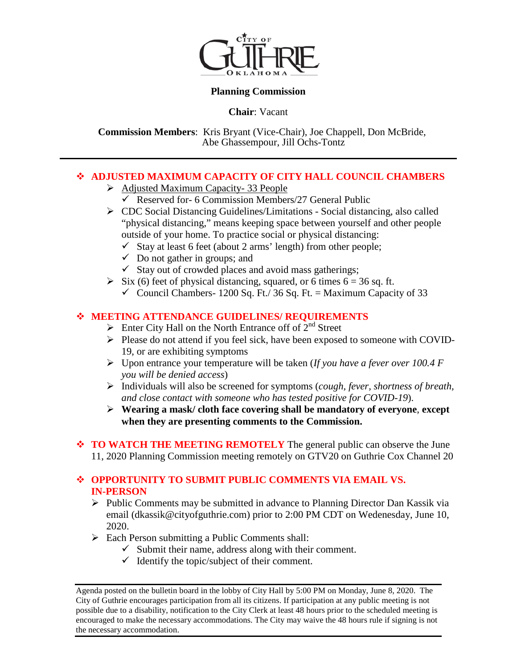

## **Planning Commission**

**Chair**: Vacant

**Commission Members**: Kris Bryant (Vice-Chair), Joe Chappell, Don McBride, Abe Ghassempour, Jill Ochs-Tontz

## **ADJUSTED MAXIMUM CAPACITY OF CITY HALL COUNCIL CHAMBERS**

- Adjusted Maximum Capacity-33 People
	- $\checkmark$  Reserved for- 6 Commission Members/27 General Public
- CDC Social Distancing Guidelines/Limitations Social distancing, also called "physical distancing," means keeping space between yourself and other people outside of your home. To practice social or physical distancing:
	- $\checkmark$  Stay at least 6 feet (about 2 arms' length) from other people;
	- $\checkmark$  Do not gather in groups; and
	- $\checkmark$  Stay out of crowded places and avoid mass gatherings;
- $\triangleright$  Six (6) feet of physical distancing, squared, or 6 times 6 = 36 sq. ft.
	- $\checkmark$  Council Chambers- 1200 Sq. Ft./ 36 Sq. Ft. = Maximum Capacity of 33

## **MEETING ATTENDANCE GUIDELINES/ REQUIREMENTS**

- $\triangleright$  Enter City Hall on the North Entrance off of  $2^{nd}$  Street
- Please do not attend if you feel sick, have been exposed to someone with COVID-19, or are exhibiting symptoms
- Upon entrance your temperature will be taken (*If you have a fever over 100.4 F you will be denied access*)
- Individuals will also be screened for symptoms (*cough, fever, shortness of breath, and close contact with someone who has tested positive for COVID-19*).
- **Wearing a mask/ cloth face covering shall be mandatory of everyone**, **except when they are presenting comments to the Commission.**
- ◆ **TO WATCH THE MEETING REMOTELY** The general public can observe the June 11, 2020 Planning Commission meeting remotely on GTV20 on Guthrie Cox Channel 20

## **OPPORTUNITY TO SUBMIT PUBLIC COMMENTS VIA EMAIL VS. IN-PERSON**

- $\triangleright$  Public Comments may be submitted in advance to Planning Director Dan Kassik via email (dkassik@cityofguthrie.com) prior to 2:00 PM CDT on Wedenesday, June 10, 2020.
- Each Person submitting a Public Comments shall:
	- $\checkmark$  Submit their name, address along with their comment.
	- $\checkmark$  Identify the topic/subject of their comment.

Agenda posted on the bulletin board in the lobby of City Hall by 5:00 PM on Monday, June 8, 2020. The City of Guthrie encourages participation from all its citizens. If participation at any public meeting is not possible due to a disability, notification to the City Clerk at least 48 hours prior to the scheduled meeting is encouraged to make the necessary accommodations. The City may waive the 48 hours rule if signing is not the necessary accommodation.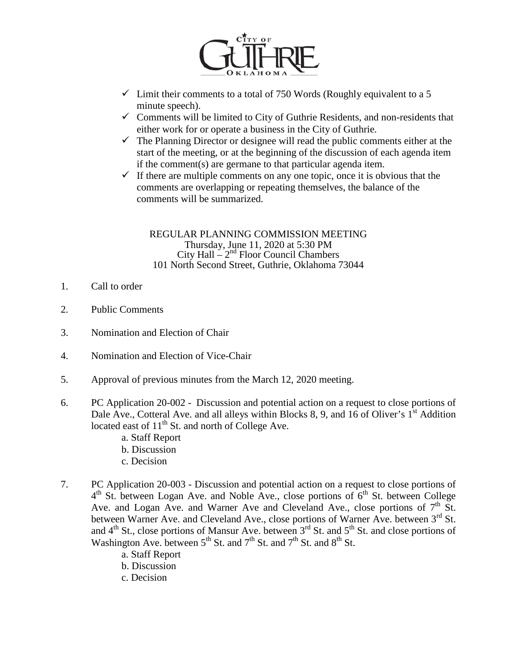

- $\checkmark$  Limit their comments to a total of 750 Words (Roughly equivalent to a 5 minute speech).
- $\checkmark$  Comments will be limited to City of Guthrie Residents, and non-residents that either work for or operate a business in the City of Guthrie.
- $\checkmark$  The Planning Director or designee will read the public comments either at the start of the meeting, or at the beginning of the discussion of each agenda item if the comment(s) are germane to that particular agenda item.
- $\checkmark$  If there are multiple comments on any one topic, once it is obvious that the comments are overlapping or repeating themselves, the balance of the comments will be summarized.

REGULAR PLANNING COMMISSION MEETING Thursday, June 11, 2020 at 5:30 PM City Hall  $-2<sup>nd</sup>$  Floor Council Chambers 101 North Second Street, Guthrie, Oklahoma 73044

- 1. Call to order
- 2. Public Comments
- 3. Nomination and Election of Chair
- 4. Nomination and Election of Vice-Chair
- 5. Approval of previous minutes from the March 12, 2020 meeting.
- 6. PC Application 20-002 Discussion and potential action on a request to close portions of Dale Ave., Cotteral Ave. and all alleys within Blocks 8, 9, and 16 of Oliver's  $1<sup>st</sup>$  Addition located east of  $11<sup>th</sup>$  St. and north of College Ave.
	- a. Staff Report
	- b. Discussion
	- c. Decision
- 7. PC Application 20-003 Discussion and potential action on a request to close portions of  $4<sup>th</sup>$  St. between Logan Ave. and Noble Ave., close portions of  $6<sup>th</sup>$  St. between College Ave. and Logan Ave. and Warner Ave and Cleveland Ave., close portions of  $7<sup>th</sup>$  St. between Warner Ave. and Cleveland Ave., close portions of Warner Ave. between  $3<sup>rd</sup>$  St. and  $4<sup>th</sup>$  St., close portions of Mansur Ave. between  $3<sup>rd</sup>$  St. and  $5<sup>th</sup>$  St. and close portions of Washington Ave. between  $5<sup>th</sup>$  St. and  $7<sup>th</sup>$  St. and  $7<sup>th</sup>$  St. and  $8<sup>th</sup>$  St.
	- a. Staff Report
	- b. Discussion
	- c. Decision